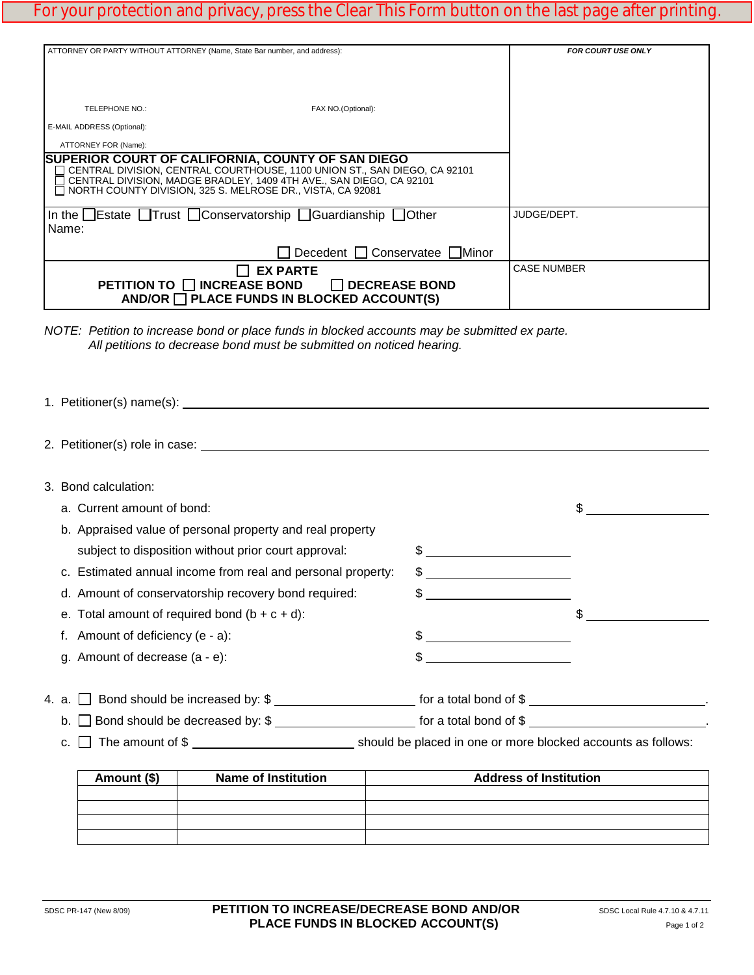## For your protection and privacy, press the Clear This Form button on the last page after printing.

| ATTORNEY OR PARTY WITHOUT ATTORNEY (Name, State Bar number, and address):                                                                                                                                                                                                                       | <b>FOR COURT USE ONLY</b>        |                    |
|-------------------------------------------------------------------------------------------------------------------------------------------------------------------------------------------------------------------------------------------------------------------------------------------------|----------------------------------|--------------------|
| TELEPHONE NO.:                                                                                                                                                                                                                                                                                  | FAX NO.(Optional):               |                    |
| E-MAIL ADDRESS (Optional):<br>ATTORNEY FOR (Name):                                                                                                                                                                                                                                              |                                  |                    |
| ISUPERIOR COURT OF CALIFORNIA, COUNTY OF SAN DIEGO<br>◯ CENTRAL DIVISION, CENTRAL COURTHOUSE, 1100 UNION ST., SAN DIEGO, CA 92101<br>CENTRAL DIVISION, MADGE BRADLEY, 1409 4TH AVE., SAN DIEGO, CA 92101<br>$\overline{\phantom{a}}$ NORTH COUNTY DIVISION. 325 S. MELROSE DR., VISTA. CA 92081 |                                  |                    |
| In the $\Box$ Estate $\Box$ Trust $\Box$ Conservatorship $\Box$ Guardianship $\Box$ Other<br>Name:                                                                                                                                                                                              | JUDGE/DEPT.                      |                    |
|                                                                                                                                                                                                                                                                                                 | □ Decedent □ Conservatee □ Minor |                    |
| <b>EX PARTE</b><br>PETITION TO □ INCREASE BOND □ DECREASE BOND<br>AND/OR PLACE FUNDS IN BLOCKED ACCOUNT(S)                                                                                                                                                                                      |                                  | <b>CASE NUMBER</b> |

|                        | 3. Bond calculation:                |                                                                                                              |  |                                                             |    |
|------------------------|-------------------------------------|--------------------------------------------------------------------------------------------------------------|--|-------------------------------------------------------------|----|
|                        | a. Current amount of bond:          |                                                                                                              |  |                                                             | \$ |
|                        |                                     | b. Appraised value of personal property and real property                                                    |  |                                                             |    |
|                        |                                     | subject to disposition without prior court approval:                                                         |  | $\frac{1}{2}$                                               |    |
|                        |                                     | c. Estimated annual income from real and personal property:                                                  |  | $\frac{1}{2}$                                               |    |
|                        |                                     | d. Amount of conservatorship recovery bond required:                                                         |  |                                                             |    |
|                        |                                     | e. Total amount of required bond $(b + c + d)$ :                                                             |  |                                                             | \$ |
|                        | f. Amount of deficiency $(e - a)$ : |                                                                                                              |  |                                                             |    |
|                        | g. Amount of decrease (a - e):      |                                                                                                              |  | \$<br><u> 1989 - Andrea Station, amerikansk politiker (</u> |    |
|                        |                                     |                                                                                                              |  |                                                             |    |
|                        |                                     | 4. a. Solomond Should be increased by: \$                                                                    |  |                                                             |    |
| b.                     |                                     | □ Bond should be decreased by: \$ ________________________ for a total bond of \$ _________________________. |  |                                                             |    |
| The amount of \$<br>C. |                                     |                                                                                                              |  |                                                             |    |
|                        | Amount (\$)                         | <b>Name of Institution</b>                                                                                   |  | <b>Address of Institution</b>                               |    |
|                        |                                     |                                                                                                              |  |                                                             |    |

| Amount (\$) | <b>Name of Institution</b> | <b>Address of Institution</b> |
|-------------|----------------------------|-------------------------------|
|             |                            |                               |
|             |                            |                               |
|             |                            |                               |
|             |                            |                               |
|             |                            |                               |

*NOTE: Petition to increase bond or place funds in blocked accounts may be submitted ex parte. All petitions to decrease bond must be submitted on noticed hearing.*